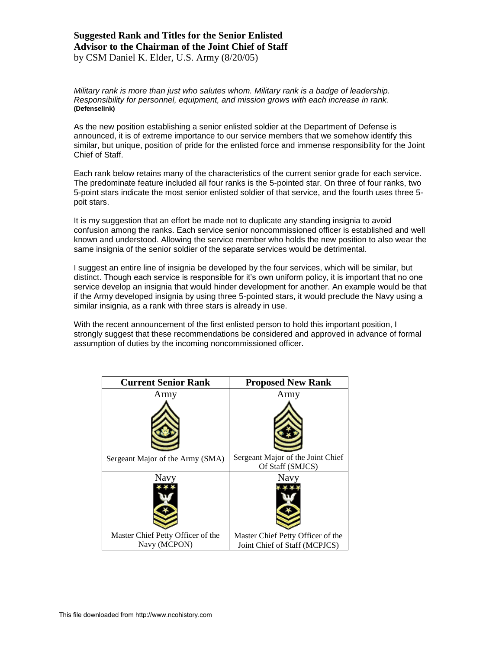### **Suggested Rank and Titles for the Senior Enlisted Advisor to the Chairman of the Joint Chief of Staff** by CSM Daniel K. Elder, U.S. Army (8/20/05)

*Military rank is more than just who salutes whom. Military rank is a badge of leadership. Responsibility for personnel, equipment, and mission grows with each increase in rank.* **(Defenselink)**

As the new position establishing a senior enlisted soldier at the Department of Defense is announced, it is of extreme importance to our service members that we somehow identify this similar, but unique, position of pride for the enlisted force and immense responsibility for the Joint Chief of Staff.

Each rank below retains many of the characteristics of the current senior grade for each service. The predominate feature included all four ranks is the 5-pointed star. On three of four ranks, two 5-point stars indicate the most senior enlisted soldier of that service, and the fourth uses three 5 poit stars.

It is my suggestion that an effort be made not to duplicate any standing insignia to avoid confusion among the ranks. Each service senior noncommissioned officer is established and well known and understood. Allowing the service member who holds the new position to also wear the same insignia of the senior soldier of the separate services would be detrimental.

I suggest an entire line of insignia be developed by the four services, which will be similar, but distinct. Though each service is responsible for it's own uniform policy, it is important that no one service develop an insignia that would hinder development for another. An example would be that if the Army developed insignia by using three 5-pointed stars, it would preclude the Navy using a similar insignia, as a rank with three stars is already in use.

With the recent announcement of the first enlisted person to hold this important position, I strongly suggest that these recommendations be considered and approved in advance of formal assumption of duties by the incoming noncommissioned officer.

| <b>Current Senior Rank</b>        | <b>Proposed New Rank</b>          |
|-----------------------------------|-----------------------------------|
| Army                              | Army                              |
|                                   |                                   |
|                                   |                                   |
|                                   |                                   |
|                                   |                                   |
|                                   |                                   |
| Sergeant Major of the Army (SMA)  | Sergeant Major of the Joint Chief |
|                                   | Of Staff (SMJCS)                  |
| Navy                              | Navy                              |
|                                   |                                   |
|                                   |                                   |
|                                   |                                   |
|                                   |                                   |
|                                   |                                   |
| Master Chief Petty Officer of the | Master Chief Petty Officer of the |
| Navy (MCPON)                      | Joint Chief of Staff (MCPJCS)     |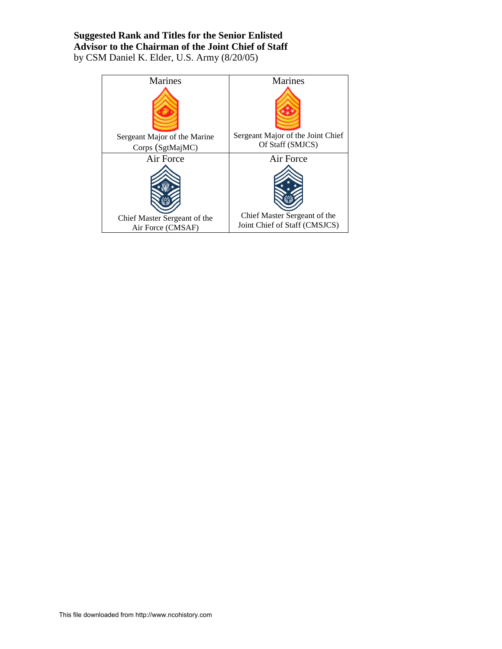# **Suggested Rank and Titles for the Senior Enlisted Advisor to the Chairman of the Joint Chief of Staff** by CSM Daniel K. Elder, U.S. Army (8/20/05)

| Marines                                           | Marines                                                       |
|---------------------------------------------------|---------------------------------------------------------------|
|                                                   |                                                               |
| Sergeant Major of the Marine                      | Sergeant Major of the Joint Chief                             |
| Corps (SgtMajMC)                                  | Of Staff (SMJCS)                                              |
| Air Force                                         | Air Force                                                     |
|                                                   |                                                               |
| Chief Master Sergeant of the<br>Air Force (CMSAF) | Chief Master Sergeant of the<br>Joint Chief of Staff (CMSJCS) |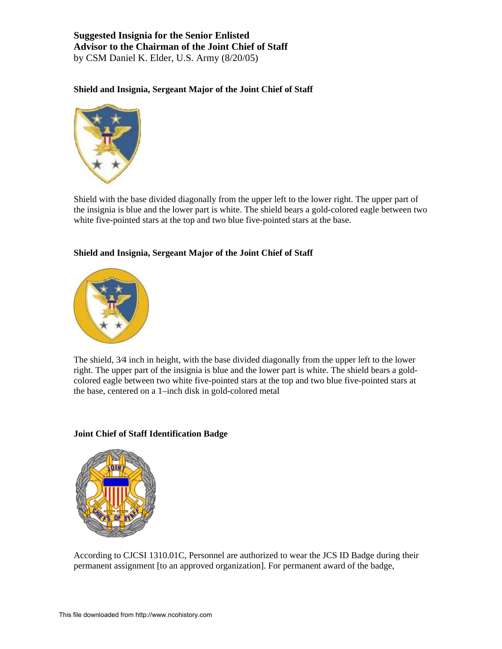## **Suggested Insignia for the Senior Enlisted Advisor to the Chairman of the Joint Chief of Staff**  by CSM Daniel K. Elder, U.S. Army (8/20/05)

### **Shield and Insignia, Sergeant Major of the Joint Chief of Staff**



Shield with the base divided diagonally from the upper left to the lower right. The upper part of the insignia is blue and the lower part is white. The shield bears a gold-colored eagle between two white five-pointed stars at the top and two blue five-pointed stars at the base.

### **Shield and Insignia, Sergeant Major of the Joint Chief of Staff**



The shield, 3⁄4 inch in height, with the base divided diagonally from the upper left to the lower right. The upper part of the insignia is blue and the lower part is white. The shield bears a goldcolored eagle between two white five-pointed stars at the top and two blue five-pointed stars at the base, centered on a 1–inch disk in gold-colored metal

#### **Joint Chief of Staff Identification Badge**



According to CJCSI 1310.01C, Personnel are authorized to wear the JCS ID Badge during their permanent assignment [to an approved organization]. For permanent award of the badge,